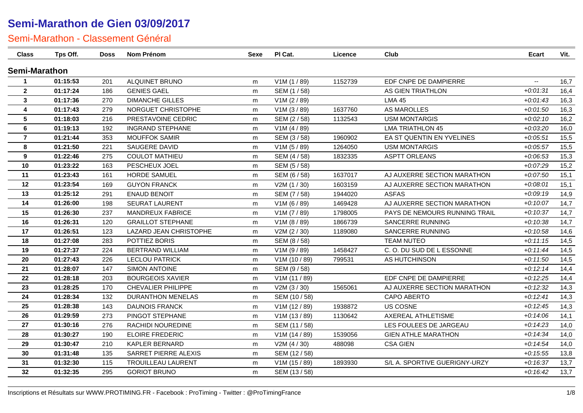| <b>Class</b>            | Tps Off. | <b>Doss</b> | <b>Nom Prénom</b>         | Sexe | PI Cat.       | Licence | Club                          | <b>Ecart</b>             | Vit. |
|-------------------------|----------|-------------|---------------------------|------|---------------|---------|-------------------------------|--------------------------|------|
| <b>Semi-Marathon</b>    |          |             |                           |      |               |         |                               |                          |      |
| -1                      | 01:15:53 | 201         | ALQUINET BRUNO            | m    | V1M (1 / 89)  | 1152739 | EDF CNPE DE DAMPIERRE         | $\overline{\phantom{a}}$ | 16,7 |
| $\mathbf{2}$            | 01:17:24 | 186         | <b>GENIES GAEL</b>        | m    | SEM (1/58)    |         | AS GIEN TRIATHLON             | $+0.01:31$               | 16,4 |
| $\mathbf{3}$            | 01:17:36 | 270         | <b>DIMANCHE GILLES</b>    | m    | V1M (2 / 89)  |         | <b>LMA 45</b>                 | $+0.01:43$               | 16,3 |
| $\overline{\mathbf{4}}$ | 01:17:43 | 279         | NORGUET CHRISTOPHE        | m    | V1M(3/89)     | 1637760 | AS MAROLLES                   | $+0.01:50$               | 16,3 |
| $5\phantom{.0}$         | 01:18:03 | 216         | PRESTAVOINE CEDRIC        | m    | SEM (2 / 58)  | 1132543 | <b>USM MONTARGIS</b>          | $+0.02:10$               | 16,2 |
| 6                       | 01:19:13 | 192         | <b>INGRAND STEPHANE</b>   | m    | V1M (4 / 89)  |         | <b>LMA TRIATHLON 45</b>       | $+0.03:20$               | 16,0 |
| $\overline{7}$          | 01:21:44 | 353         | <b>MOUFFOK SAMIR</b>      | m    | SEM (3/58)    | 1960902 | EA ST QUENTIN EN YVELINES     | $+0.05:51$               | 15,5 |
| 8                       | 01:21:50 | 221         | SAUGERE DAVID             | m    | V1M (5 / 89)  | 1264050 | <b>USM MONTARGIS</b>          | $+0.05.57$               | 15,5 |
| 9                       | 01:22:46 | 275         | <b>COULOT MATHIEU</b>     | m    | SEM (4 / 58)  | 1832335 | <b>ASPTT ORLEANS</b>          | $+0.06:53$               | 15,3 |
| 10                      | 01:23:22 | 163         | PESCHEUX JOEL             | m    | SEM (5/58)    |         |                               | $+0.07.29$               | 15,2 |
| 11                      | 01:23:43 | 161         | <b>HORDE SAMUEL</b>       | m    | SEM (6 / 58)  | 1637017 | AJ AUXERRE SECTION MARATHON   | $+0.07:50$               | 15,1 |
| 12                      | 01:23:54 | 169         | <b>GUYON FRANCK</b>       | m    | V2M (1 / 30)  | 1603159 | AJ AUXERRE SECTION MARATHON   | $+0.08:01$               | 15,1 |
| 13                      | 01:25:12 | 291         | <b>ENAUD BENOIT</b>       | m    | SEM (7/58)    | 1944020 | <b>ASFAS</b>                  | $+0.09:19$               | 14,9 |
| 14                      | 01:26:00 | 198         | SEURAT LAURENT            | m    | V1M (6 / 89)  | 1469428 | AJ AUXERRE SECTION MARATHON   | $+0:10:07$               | 14,7 |
| 15                      | 01:26:30 | 237         | MANDREUX FABRICE          | m    | V1M (7 / 89)  | 1798005 | PAYS DE NEMOURS RUNNING TRAIL | $+0.10.37$               | 14,7 |
| 16                      | 01:26:31 | 120         | <b>GRAILLOT STEPHANE</b>  | m    | V1M (8 / 89)  | 1866739 | SANCERRE RUNNING              | $+0.10.38$               | 14,7 |
| 17                      | 01:26:51 | 123         | LAZARD JEAN CHRISTOPHE    | m    | V2M (2/30)    | 1189080 | SANCERRE RUNNING              | $+0:10:58$               | 14,6 |
| 18                      | 01:27:08 | 283         | POTTIEZ BORIS             | m    | SEM (8/58)    |         | TEAM NUTEO                    | $+0:11:15$               | 14,5 |
| 19                      | 01:27:37 | 224         | <b>BERTRAND WILLIAM</b>   | m    | V1M (9 / 89)  | 1458427 | C.O. DU SUD DE LESSONNE       | $+0.11.44$               | 14,5 |
| 20                      | 01:27:43 | 226         | <b>LECLOU PATRICK</b>     | m    | V1M (10 / 89) | 799531  | AS HUTCHINSON                 | $+0:11:50$               | 14,5 |
| 21                      | 01:28:07 | 147         | SIMON ANTOINE             | m    | SEM (9/58)    |         |                               | $+0:12:14$               | 14,4 |
| 22                      | 01:28:18 | 203         | <b>BOURGEOIS XAVIER</b>   | m    | V1M(11/89)    |         | EDF CNPE DE DAMPIERRE         | $+0:12:25$               | 14,4 |
| 23                      | 01:28:25 | 170         | CHEVALIER PHILIPPE        | m    | V2M (3 / 30)  | 1565061 | AJ AUXERRE SECTION MARATHON   | $+0:12:32$               | 14,3 |
| 24                      | 01:28:34 | 132         | <b>DURANTHON MENELAS</b>  | m    | SEM (10 / 58) |         | CAPO ABERTO                   | $+0.12:41$               | 14,3 |
| 25                      | 01:28:38 | 143         | <b>DAUNOIS FRANCK</b>     | m    | V1M (12 / 89) | 1938872 | US COSNE                      | $+0:12:45$               | 14,3 |
| 26                      | 01:29:59 | 273         | PINGOT STEPHANE           | m    | V1M(13/89)    | 1130642 | <b>AXEREAL ATHLETISME</b>     | $+0:14:06$               | 14,1 |
| 27                      | 01:30:16 | 276         | RACHIDI NOUREDINE         | m    | SEM (11 / 58) |         | LES FOULEES DE JARGEAU        | $+0:14:23$               | 14,0 |
| 28                      | 01:30:27 | 190         | <b>ELOIRE FREDERIC</b>    | m    | V1M (14 / 89) | 1539056 | <b>GIEN ATHLE MARATHON</b>    | $+0:14:34$               | 14,0 |
| 29                      | 01:30:47 | 210         | <b>KAPLER BERNARD</b>     | m    | V2M (4 / 30)  | 488098  | <b>CSA GIEN</b>               | $+0.14.54$               | 14,0 |
| 30                      | 01:31:48 | 135         | SARRET PIERRE ALEXIS      | m    | SEM (12 / 58) |         |                               | $+0.15.55$               | 13,8 |
| 31                      | 01:32:30 | 115         | <b>TROUILLEAU LAURENT</b> | m    | V1M (15 / 89) | 1893930 | S/L A. SPORTIVE GUERIGNY-URZY | $+0:16:37$               | 13,7 |
| 32                      | 01:32:35 | 295         | <b>GORIOT BRUNO</b>       | m    | SEM (13 / 58) |         |                               | $+0.16:42$               | 13,7 |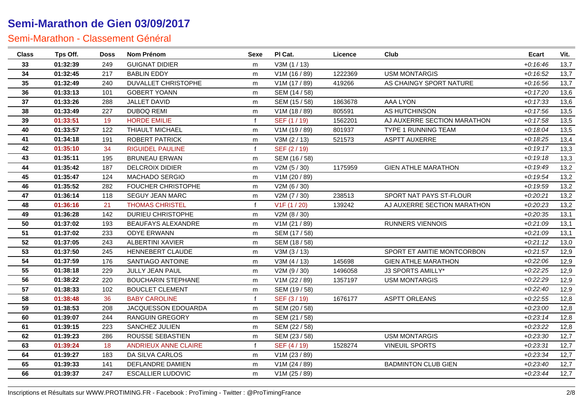| <b>Class</b> | Tps Off. | <b>Doss</b> | <b>Nom Prénom</b>           | Sexe         | PI Cat.       | Licence | Club                        | Ecart      | Vit. |
|--------------|----------|-------------|-----------------------------|--------------|---------------|---------|-----------------------------|------------|------|
| 33           | 01:32:39 | 249         | <b>GUIGNAT DIDIER</b>       | m            | V3M (1 / 13)  |         |                             | $+0:16:46$ | 13,7 |
| 34           | 01:32:45 | 217         | <b>BABLIN EDDY</b>          | m            | V1M (16 / 89) | 1222369 | <b>USM MONTARGIS</b>        | $+0:16:52$ | 13,7 |
| 35           | 01:32:49 | 240         | <b>DUVALLET CHRISTOPHE</b>  | m            | V1M (17 / 89) | 419266  | AS CHAINGY SPORT NATURE     | $+0.16.56$ | 13,7 |
| 36           | 01:33:13 | 101         | <b>GOBERT YOANN</b>         | m            | SEM (14 / 58) |         |                             | $+0:17:20$ | 13,6 |
| 37           | 01:33:26 | 288         | JALLET DAVID                | m            | SEM (15 / 58) | 1863678 | <b>AAA LYON</b>             | $+0:17:33$ | 13,6 |
| 38           | 01:33:49 | 227         | <b>DUBOQ REMI</b>           | m            | V1M (18 / 89) | 805591  | AS HUTCHINSON               | $+0:17:56$ | 13,5 |
| 39           | 01:33:51 | 19          | <b>HORDE EMILIE</b>         | $\mathbf{f}$ | SEF (1 / 19)  | 1562201 | AJ AUXERRE SECTION MARATHON | $+0:17:58$ | 13,5 |
| 40           | 01:33:57 | 122         | THIAULT MICHAEL             | m            | V1M (19 / 89) | 801937  | <b>TYPE 1 RUNNING TEAM</b>  | $+0.18:04$ | 13,5 |
| 41           | 01:34:18 | 191         | <b>ROBERT PATRICK</b>       | m            | V3M (2 / 13)  | 521573  | <b>ASPTT AUXERRE</b>        | $+0.18.25$ | 13,4 |
| 42           | 01:35:10 | 34          | <b>RIGUIDEL PAULINE</b>     | $\mathbf{f}$ | SEF (2/19)    |         |                             | $+0:19:17$ | 13,3 |
| 43           | 01:35:11 | 195         | <b>BRUNEAU ERWAN</b>        | m            | SEM (16 / 58) |         |                             | $+0:19:18$ | 13,3 |
| 44           | 01:35:42 | 187         | <b>DELCROIX DIDIER</b>      | m            | V2M (5 / 30)  | 1175959 | <b>GIEN ATHLE MARATHON</b>  | $+0.19:49$ | 13,2 |
| 45           | 01:35:47 | 124         | <b>MACHADO SERGIO</b>       | m            | V1M (20 / 89) |         |                             | $+0.19.54$ | 13,2 |
| 46           | 01:35:52 | 282         | <b>FOUCHER CHRISTOPHE</b>   | m            | V2M (6 / 30)  |         |                             | $+0.19.59$ | 13,2 |
| 47           | 01:36:14 | 118         | SEGUY JEAN MARC             | m            | V2M (7 / 30)  | 238513  | SPORT NAT PAYS ST-FLOUR     | $+0.20.21$ | 13,2 |
| 48           | 01:36:16 | 21          | <b>THOMAS CHRISTEL</b>      | $\mathbf{f}$ | V1F(1/20)     | 139242  | AJ AUXERRE SECTION MARATHON | $+0.20.23$ | 13,2 |
| 49           | 01:36:28 | 142         | DURIEU CHRISTOPHE           | m            | V2M (8 / 30)  |         |                             | $+0.20.35$ | 13,1 |
| 50           | 01:37:02 | 193         | BEAUFAYS ALEXANDRE          | m            | V1M (21 / 89) |         | <b>RUNNERS VIENNOIS</b>     | $+0.21:09$ | 13,1 |
| 51           | 01:37:02 | 233         | <b>ODYE ERWANN</b>          | m            | SEM (17 / 58) |         |                             | $+0.21.09$ | 13,1 |
| 52           | 01:37:05 | 243         | ALBERTINI XAVIER            | m            | SEM (18 / 58) |         |                             | $+0:21:12$ | 13,0 |
| 53           | 01:37:50 | 245         | HENNEBERT CLAUDE            | m            | V3M(3/13)     |         | SPORT ET AMITIE MONTCORBON  | $+0.21:57$ | 12,9 |
| 54           | 01:37:59 | 176         | SANTIAGO ANTOINE            | m            | V3M (4 / 13)  | 145698  | <b>GIEN ATHLE MARATHON</b>  | $+0.22:06$ | 12,9 |
| 55           | 01:38:18 | 229         | JULLY JEAN PAUL             | m            | V2M (9 / 30)  | 1496058 | J3 SPORTS AMILLY*           | $+0.22.25$ | 12,9 |
| 56           | 01:38:22 | 220         | <b>BOUCHARIN STEPHANE</b>   | m            | V1M (22 / 89) | 1357197 | <b>USM MONTARGIS</b>        | $+0:22:29$ | 12,9 |
| 57           | 01:38:33 | 102         | <b>BOUCLET CLEMENT</b>      | m            | SEM (19 / 58) |         |                             | $+0.22:40$ | 12,9 |
| 58           | 01:38:48 | 36          | <b>BABY CAROLINE</b>        | $\mathbf{f}$ | SEF (3/19)    | 1676177 | <b>ASPTT ORLEANS</b>        | $+0.22:55$ | 12,8 |
| 59           | 01:38:53 | 208         | JACQUESSON EDOUARDA         | m            | SEM (20 / 58) |         |                             | $+0.23:00$ | 12,8 |
| 60           | 01:39:07 | 244         | <b>RANGUIN GREGORY</b>      | m            | SEM (21 / 58) |         |                             | $+0.23:14$ | 12,8 |
| 61           | 01:39:15 | 223         | SANCHEZ JULIEN              | m            | SEM (22 / 58) |         |                             | $+0.23.22$ | 12,8 |
| 62           | 01:39:23 | 286         | ROUSSE SEBASTIEN            | m            | SEM (23 / 58) |         | <b>USM MONTARGIS</b>        | $+0.23.30$ | 12,7 |
| 63           | 01:39:24 | 18          | <b>ANDRIEUX ANNE CLAIRE</b> | $\mathbf f$  | SEF (4/19)    | 1528274 | <b>VINEUIL SPORTS</b>       | $+0.23.31$ | 12,7 |
| 64           | 01:39:27 | 183         | DA SILVA CARLOS             | m            | V1M (23 / 89) |         |                             | $+0.23.34$ | 12,7 |
| 65           | 01:39:33 | 141         | DEFLANDRE DAMIEN            | m            | V1M (24 / 89) |         | <b>BADMINTON CLUB GIEN</b>  | $+0.23:40$ | 12,7 |
| 66           | 01:39:37 | 247         | <b>ESCALLIER LUDOVIC</b>    | m            | V1M (25 / 89) |         |                             | $+0.23:44$ | 12,7 |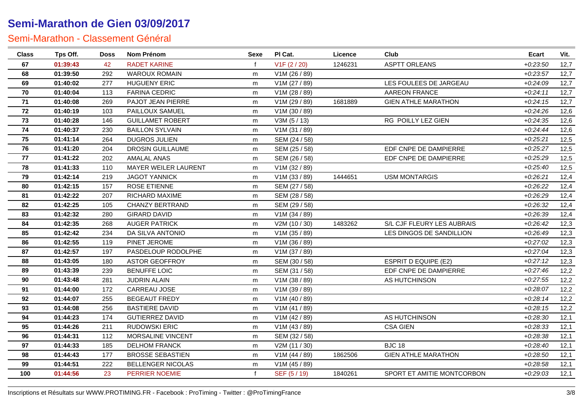| <b>Class</b> | Tps Off. | <b>Doss</b> | Nom Prénom               | <b>Sexe</b> | PI Cat.       | Licence | Club                        | Ecart      | Vit. |
|--------------|----------|-------------|--------------------------|-------------|---------------|---------|-----------------------------|------------|------|
| 67           | 01:39:43 | 42          | <b>RADET KARINE</b>      |             | V1F(2/20)     | 1246231 | <b>ASPTT ORLEANS</b>        | $+0.23:50$ | 12,7 |
| 68           | 01:39:50 | 292         | <b>WAROUX ROMAIN</b>     | m           | V1M (26 / 89) |         |                             | $+0.23.57$ | 12,7 |
| 69           | 01:40:02 | 277         | <b>HUGUENY ERIC</b>      | m           | V1M (27 / 89) |         | LES FOULEES DE JARGEAU      | $+0.24.09$ | 12,7 |
| 70           | 01:40:04 | 113         | <b>FARINA CEDRIC</b>     | m           | V1M (28 / 89) |         | AAREON FRANCE               | $+0.24:11$ | 12,7 |
| 71           | 01:40:08 | 269         | PAJOT JEAN PIERRE        | m           | V1M (29 / 89) | 1681889 | <b>GIEN ATHLE MARATHON</b>  | $+0.24:15$ | 12,7 |
| 72           | 01:40:19 | 103         | PAILLOUX SAMUEL          | m           | V1M (30 / 89) |         |                             | $+0.24.26$ | 12,6 |
| 73           | 01:40:28 | 146         | <b>GUILLAMET ROBERT</b>  | m           | V3M(5/13)     |         | RG POILLY LEZ GIEN          | $+0.24.35$ | 12,6 |
| 74           | 01:40:37 | 230         | <b>BAILLON SYLVAIN</b>   | m           | V1M (31 / 89) |         |                             | $+0.24:44$ | 12,6 |
| 75           | 01:41:14 | 264         | <b>DUGROS JULIEN</b>     | m           | SEM (24 / 58) |         |                             | $+0.25.21$ | 12,5 |
| 76           | 01:41:20 | 204         | <b>DROSIN GUILLAUME</b>  | m           | SEM (25 / 58) |         | EDF CNPE DE DAMPIERRE       | $+0.25.27$ | 12,5 |
| 77           | 01:41:22 | 202         | <b>AMALAL ANAS</b>       | m           | SEM (26 / 58) |         | EDF CNPE DE DAMPIERRE       | $+0.25.29$ | 12,5 |
| 78           | 01:41:33 | 110         | MAYER WEILER LAURENT     | m           | V1M (32 / 89) |         |                             | $+0.25:40$ | 12,5 |
| 79           | 01:42:14 | 219         | <b>JAGOT YANNICK</b>     | m           | V1M (33 / 89) | 1444651 | <b>USM MONTARGIS</b>        | $+0.26.21$ | 12,4 |
| 80           | 01:42:15 | 157         | ROSE ETIENNE             | m           | SEM (27 / 58) |         |                             | $+0.26.22$ | 12,4 |
| 81           | 01:42:22 | 207         | RICHARD MAXIME           | m           | SEM (28 / 58) |         |                             | $+0.26.29$ | 12,4 |
| 82           | 01:42:25 | 105         | <b>CHANZY BERTRAND</b>   | m           | SEM (29 / 58) |         |                             | $+0.26.32$ | 12,4 |
| 83           | 01:42:32 | 280         | <b>GIRARD DAVID</b>      | m           | V1M (34 / 89) |         |                             | $+0.26.39$ | 12,4 |
| 84           | 01:42:35 | 268         | <b>AUGER PATRICK</b>     | m           | V2M (10 / 30) | 1483262 | S/L CJF FLEURY LES AUBRAIS  | $+0.26:42$ | 12,3 |
| 85           | 01:42:42 | 234         | DA SILVA ANTONIO         | m           | V1M (35 / 89) |         | LES DINGOS DE SANDILLION    | $+0.26:49$ | 12,3 |
| 86           | 01:42:55 | 119         | PINET JEROME             | m           | V1M (36 / 89) |         |                             | $+0.27:02$ | 12,3 |
| 87           | 01:42:57 | 197         | PASDELOUP RODOLPHE       | m           | V1M (37 / 89) |         |                             | $+0.27:04$ | 12,3 |
| 88           | 01:43:05 | 180         | <b>ASTOR GEOFFROY</b>    | m           | SEM (30 / 58) |         | <b>ESPRIT D EQUIPE (E2)</b> | $+0.27:12$ | 12,3 |
| 89           | 01:43:39 | 239         | <b>BENUFFE LOIC</b>      | m           | SEM (31 / 58) |         | EDF CNPE DE DAMPIERRE       | $+0.27:46$ | 12,2 |
| 90           | 01:43:48 | 281         | <b>JUDRIN ALAIN</b>      | m           | V1M (38 / 89) |         | AS HUTCHINSON               | $+0.27:55$ | 12,2 |
| 91           | 01:44:00 | 172         | CARREAU JOSE             | m           | V1M (39 / 89) |         |                             | $+0.28:07$ | 12,2 |
| 92           | 01:44:07 | 255         | <b>BEGEAUT FREDY</b>     | m           | V1M (40 / 89) |         |                             | $+0.28:14$ | 12,2 |
| 93           | 01:44:08 | 256         | <b>BASTIERE DAVID</b>    | m           | V1M (41 / 89) |         |                             | $+0.28:15$ | 12,2 |
| 94           | 01:44:23 | 174         | <b>GUTIERREZ DAVID</b>   | m           | V1M (42 / 89) |         | AS HUTCHINSON               | $+0.28.30$ | 12,1 |
| 95           | 01:44:26 | 211         | RUDOWSKI ERIC            | m           | V1M (43 / 89) |         | <b>CSA GIEN</b>             | $+0.28.33$ | 12,1 |
| 96           | 01:44:31 | 112         | MORSALINE VINCENT        | m           | SEM (32 / 58) |         |                             | $+0.28.38$ | 12,1 |
| 97           | 01:44:33 | 185         | <b>DELHOM FRANCK</b>     | m           | V2M (11 / 30) |         | <b>BJC 18</b>               | $+0.28:40$ | 12,1 |
| 98           | 01:44:43 | 177         | <b>BROSSE SEBASTIEN</b>  | m           | V1M (44 / 89) | 1862506 | <b>GIEN ATHLE MARATHON</b>  | $+0.28:50$ | 12,1 |
| 99           | 01:44:51 | 222         | <b>BELLENGER NICOLAS</b> | m           | V1M (45 / 89) |         |                             | $+0.28:58$ | 12,1 |
| 100          | 01:44:56 | 23          | PERRIER NOEMIE           |             | SEF (5/19)    | 1840261 | SPORT ET AMITIE MONTCORBON  | $+0.29:03$ | 12,1 |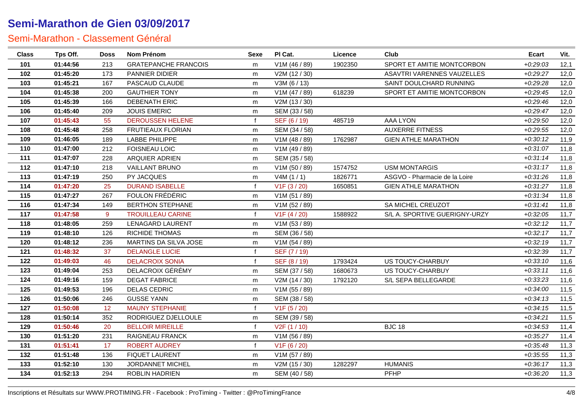| <b>Class</b> | Tps Off. | <b>Doss</b> | <b>Nom Prénom</b>           | <b>Sexe</b>  | PI Cat.                   | Licence | Club                          | <b>Ecart</b> | Vit. |
|--------------|----------|-------------|-----------------------------|--------------|---------------------------|---------|-------------------------------|--------------|------|
| 101          | 01:44:56 | 213         | <b>GRATEPANCHE FRANCOIS</b> | m            | V1M (46 / 89)             | 1902350 | SPORT ET AMITIE MONTCORBON    | $+0.29:03$   | 12,1 |
| 102          | 01:45:20 | 173         | PANNIER DIDIER              | m            | V2M (12 / 30)             |         | ASAVTRI VARENNES VAUZELLES    | $+0.29:27$   | 12,0 |
| 103          | 01:45:21 | 167         | PASCAUD CLAUDE              | m            | V3M (6 / 13)              |         | SAINT DOULCHARD RUNNING       | $+0.29.28$   | 12,0 |
| 104          | 01:45:38 | 200         | <b>GAUTHIER TONY</b>        | m            | V1M (47 / 89)             | 618239  | SPORT ET AMITIE MONTCORBON    | $+0.29:45$   | 12,0 |
| 105          | 01:45:39 | 166         | DEBENATH ERIC               | m            | V2M (13 / 30)             |         |                               | $+0.29:46$   | 12,0 |
| 106          | 01:45:40 | 209         | <b>JOUIS EMERIC</b>         | m            | SEM (33 / 58)             |         |                               | $+0.29:47$   | 12,0 |
| 107          | 01:45:43 | 55          | DEROUSSEN HELENE            | f            | SEF (6 / 19)              | 485719  | AAA LYON                      | $+0.29:50$   | 12,0 |
| 108          | 01:45:48 | 258         | FRUTIEAUX FLORIAN           | m            | SEM (34 / 58)             |         | <b>AUXERRE FITNESS</b>        | $+0.29.55$   | 12,0 |
| 109          | 01:46:05 | 189         | <b>LABBE PHILIPPE</b>       | m            | V1M (48 / 89)             | 1762987 | <b>GIEN ATHLE MARATHON</b>    | $+0:30:12$   | 11,9 |
| 110          | 01:47:00 | 212         | <b>FOISNEAU LOIC</b>        | m            | V1M (49 / 89)             |         |                               | $+0:31:07$   | 11,8 |
| 111          | 01:47:07 | 228         | ARQUIER ADRIEN              | m            | SEM (35 / 58)             |         |                               | $+0:31:14$   | 11,8 |
| 112          | 01:47:10 | 218         | <b>VAILLANT BRUNO</b>       | m            | V1M (50 / 89)             | 1574752 | <b>USM MONTARGIS</b>          | $+0:31:17$   | 11,8 |
| 113          | 01:47:19 | 250         | PY JACQUES                  | m            | V4M(1/1)                  | 1826771 | ASGVO - Pharmacie de la Loire | $+0.31.26$   | 11,8 |
| 114          | 01:47:20 | 25          | <b>DURAND ISABELLE</b>      | $\mathsf{f}$ | V1F(3/20)                 | 1650851 | <b>GIEN ATHLE MARATHON</b>    | $+0:31:27$   | 11,8 |
| 115          | 01:47:27 | 267         | FOULON FRÉDÉRIC             | m            | V1M (51 / 89)             |         |                               | $+0:31:34$   | 11,8 |
| 116          | 01:47:34 | 149         | <b>BERTHON STEPHANE</b>     | m            | V1M (52 / 89)             |         | SA MICHEL CREUZOT             | $+0:31:41$   | 11,8 |
| 117          | 01:47:58 | 9           | <b>TROUILLEAU CARINE</b>    | $\mathbf{f}$ | V <sub>1</sub> F (4 / 20) | 1588922 | S/L A. SPORTIVE GUERIGNY-URZY | $+0.32:05$   | 11,7 |
| 118          | 01:48:05 | 259         | <b>LENAGARD LAURENT</b>     | m            | V1M (53 / 89)             |         |                               | $+0:32:12$   | 11,7 |
| 119          | 01:48:10 | 126         | <b>RICHIDE THOMAS</b>       | m            | SEM (36 / 58)             |         |                               | $+0.32:17$   | 11,7 |
| 120          | 01:48:12 | 236         | MARTINS DA SILVA JOSE       | m            | V1M (54 / 89)             |         |                               | $+0.32:19$   | 11,7 |
| 121          | 01:48:32 | 37          | <b>DELANGLE LUCIE</b>       | f            | SEF (7/19)                |         |                               | $+0.32.39$   | 11,7 |
| 122          | 01:49:03 | 46          | <b>DELACROIX SONIA</b>      | f            | SEF (8 / 19)              | 1793424 | US TOUCY-CHARBUY              | $+0:33:10$   | 11,6 |
| 123          | 01:49:04 | 253         | DELACROIX GÉRÉMY            | m            | SEM (37 / 58)             | 1680673 | US TOUCY-CHARBUY              | $+0:33:11$   | 11,6 |
| 124          | 01:49:16 | 159         | <b>DEGAT FABRICE</b>        | m            | V2M(14/30)                | 1792120 | S/L SEPA BELLEGARDE           | $+0.33.23$   | 11,6 |
| 125          | 01:49:53 | 196         | <b>DELAS CEDRIC</b>         | m            | V1M (55 / 89)             |         |                               | $+0.34:00$   | 11,5 |
| 126          | 01:50:06 | 246         | <b>GUSSE YANN</b>           | m            | SEM (38 / 58)             |         |                               | $+0.34:13$   | 11,5 |
| 127          | 01:50:08 | 12          | <b>MAUNY STEPHANIE</b>      | $\mathbf{f}$ | V1F(5/20)                 |         |                               | $+0:34:15$   | 11,5 |
| 128          | 01:50:14 | 352         | RODRIGUEZ DJELLOULE         | m            | SEM (39 / 58)             |         |                               | $+0:34:21$   | 11,5 |
| 129          | 01:50:46 | 20          | <b>BELLOIR MIREILLE</b>     | f            | V <sub>2</sub> F (1 / 10) |         | <b>BJC 18</b>                 | $+0.34.53$   | 11,4 |
| 130          | 01:51:20 | 231         | RAIGNEAU FRANCK             | m            | V1M (56 / 89)             |         |                               | $+0:35:27$   | 11,4 |
| 131          | 01:51:41 | 17          | <b>ROBERT AUDREY</b>        | $\mathsf{f}$ | V <sub>1</sub> F (6 / 20) |         |                               | $+0.35:48$   | 11,3 |
| 132          | 01:51:48 | 136         | <b>FIQUET LAURENT</b>       | m            | V1M (57 / 89)             |         |                               | $+0.35.55$   | 11,3 |
| 133          | 01:52:10 | 130         | JORDANNET MICHEL            | m            | V2M (15 / 30)             | 1282297 | <b>HUMANIS</b>                | $+0.36:17$   | 11,3 |
| 134          | 01:52:13 | 294         | ROBLIN HADRIEN              | m            | SEM (40 / 58)             |         | PFHP                          | $+0.36:20$   | 11,3 |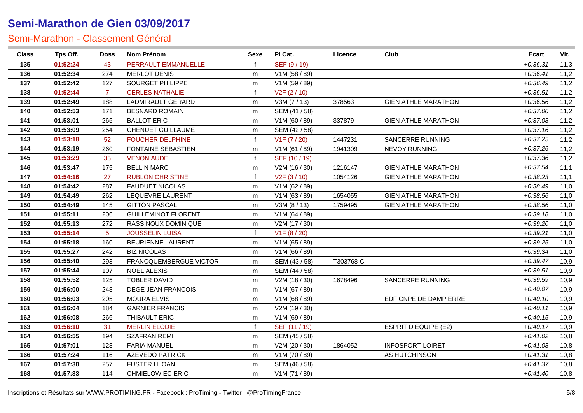| <b>Class</b> | Tps Off. | <b>Doss</b>    | Nom Prénom                 | <b>Sexe</b>  | PI Cat.                   | Licence   | Club                        | Ecart      | Vit. |
|--------------|----------|----------------|----------------------------|--------------|---------------------------|-----------|-----------------------------|------------|------|
| 135          | 01:52:24 | 43             | PERRAULT EMMANUELLE        | f            | SEF (9/19)                |           |                             | $+0.36.31$ | 11,3 |
| 136          | 01:52:34 | 274            | <b>MERLOT DENIS</b>        | m            | V1M (58 / 89)             |           |                             | $+0.36:41$ | 11,2 |
| 137          | 01:52:42 | 127            | SOURGET PHILIPPE           | m            | V1M (59 / 89)             |           |                             | $+0.36:49$ | 11,2 |
| 138          | 01:52:44 | $\overline{7}$ | <b>CERLES NATHALIE</b>     | $\mathbf f$  | V <sub>2</sub> F (2 / 10) |           |                             | $+0.36.51$ | 11,2 |
| 139          | 01:52:49 | 188            | LADMIRAULT GERARD          | m            | V3M (7 / 13)              | 378563    | <b>GIEN ATHLE MARATHON</b>  | $+0.36.56$ | 11,2 |
| 140          | 01:52:53 | 171            | <b>BESNARD ROMAIN</b>      | m            | SEM (41 / 58)             |           |                             | $+0.37:00$ | 11,2 |
| 141          | 01:53:01 | 265            | <b>BALLOT ERIC</b>         | m            | V1M (60 / 89)             | 337879    | <b>GIEN ATHLE MARATHON</b>  | $+0.37.08$ | 11,2 |
| 142          | 01:53:09 | 254            | CHENUET GUILLAUME          | m            | SEM (42 / 58)             |           |                             | $+0.37:16$ | 11,2 |
| 143          | 01:53:18 | 52             | <b>FOUCHER DELPHINE</b>    | f            | V1F (7 / 20)              | 1447231   | SANCERRE RUNNING            | $+0.37:25$ | 11,2 |
| 144          | 01:53:19 | 260            | <b>FONTAINE SEBASTIEN</b>  | m            | V1M (61 / 89)             | 1941309   | NEVOY RUNNING               | $+0.37:26$ | 11,2 |
| 145          | 01:53:29 | 35             | <b>VENON AUDE</b>          | $\mathbf{f}$ | SEF (10 / 19)             |           |                             | $+0.37.36$ | 11,2 |
| 146          | 01:53:47 | 175            | <b>BELLIN MARC</b>         | m            | V2M (16 / 30)             | 1216147   | <b>GIEN ATHLE MARATHON</b>  | $+0.37.54$ | 11,1 |
| 147          | 01:54:16 | 27             | <b>RUBLON CHRISTINE</b>    | $\mathsf{f}$ | V2F(3/10)                 | 1054126   | <b>GIEN ATHLE MARATHON</b>  | $+0.38:23$ | 11,1 |
| 148          | 01:54:42 | 287            | <b>FAUDUET NICOLAS</b>     | m            | V1M (62 / 89)             |           |                             | $+0.38:49$ | 11,0 |
| 149          | 01:54:49 | 262            | LEQUEVRE LAURENT           | m            | V1M (63 / 89)             | 1654055   | <b>GIEN ATHLE MARATHON</b>  | $+0.38:56$ | 11,0 |
| 150          | 01:54:49 | 145            | <b>GITTON PASCAL</b>       | m            | V3M (8 / 13)              | 1759495   | <b>GIEN ATHLE MARATHON</b>  | $+0.38:56$ | 11,0 |
| 151          | 01:55:11 | 206            | <b>GUILLEMINOT FLORENT</b> | m            | V1M (64 / 89)             |           |                             | $+0.39:18$ | 11,0 |
| 152          | 01:55:13 | 272            | RASSINOUX DOMINIQUE        | m            | V2M (17 / 30)             |           |                             | $+0.39:20$ | 11,0 |
| 153          | 01:55:14 | $5^{\circ}$    | <b>JOUSSELIN LUISA</b>     | $\mathsf{f}$ | V <sub>1</sub> F (8 / 20) |           |                             | $+0.39:21$ | 11,0 |
| 154          | 01:55:18 | 160            | <b>BEURIENNE LAURENT</b>   | m            | V1M (65 / 89)             |           |                             | $+0.39:25$ | 11,0 |
| 155          | 01:55:27 | 242            | <b>BIZ NICOLAS</b>         | m            | V1M (66 / 89)             |           |                             | $+0.39.34$ | 11,0 |
| 156          | 01:55:40 | 293            | FRANCQUEMBERGUE VICTOR     | m            | SEM (43 / 58)             | T303768-C |                             | $+0.39:47$ | 10,9 |
| 157          | 01:55:44 | 107            | <b>NOEL ALEXIS</b>         | m            | SEM (44 / 58)             |           |                             | $+0.39:51$ | 10,9 |
| 158          | 01:55:52 | 125            | <b>TOBLER DAVID</b>        | m            | V2M (18 / 30)             | 1678496   | SANCERRE RUNNING            | $+0.39.59$ | 10,9 |
| 159          | 01:56:00 | 248            | <b>DEGE JEAN FRANCOIS</b>  | m            | V1M (67 / 89)             |           |                             | $+0.40:07$ | 10,9 |
| 160          | 01:56:03 | 205            | <b>MOURA ELVIS</b>         | m            | V1M (68 / 89)             |           | EDF CNPE DE DAMPIERRE       | $+0:40:10$ | 10,9 |
| 161          | 01:56:04 | 184            | <b>GARNIER FRANCIS</b>     | m            | V2M (19 / 30)             |           |                             | $+0.40:11$ | 10,9 |
| 162          | 01:56:08 | 266            | THIBAULT ERIC              | m            | V1M (69 / 89)             |           |                             | $+0:40:15$ | 10,9 |
| 163          | 01:56:10 | 31             | <b>MERLIN ELODIE</b>       | $\mathbf{f}$ | SEF (11 / 19)             |           | <b>ESPRIT D EQUIPE (E2)</b> | $+0.40:17$ | 10,9 |
| 164          | 01:56:55 | 194            | <b>SZAFRAN REMI</b>        | m            | SEM (45 / 58)             |           |                             | $+0.41:02$ | 10,8 |
| 165          | 01:57:01 | 128            | <b>FARIA MANUEL</b>        | m            | V2M (20 / 30)             | 1864052   | INFOSPORT-LOIRET            | $+0.41.08$ | 10,8 |
| 166          | 01:57:24 | 116            | <b>AZEVEDO PATRICK</b>     | m            | V1M (70 / 89)             |           | AS HUTCHINSON               | $+0.41.31$ | 10,8 |
| 167          | 01:57:30 | 257            | <b>FUSTER HLOAN</b>        | m            | SEM (46 / 58)             |           |                             | $+0.41.37$ | 10,8 |
| 168          | 01:57:33 | 114            | <b>CHMIELOWIEC ERIC</b>    | m            | V1M (71/89)               |           |                             | $+0.41.40$ | 10,8 |
|              |          |                |                            |              |                           |           |                             |            |      |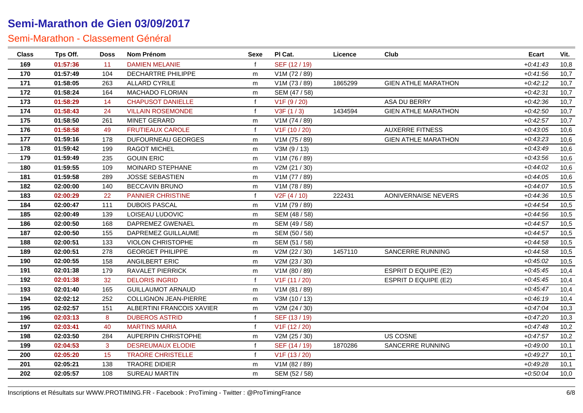| <b>Class</b> | Tps Off. | <b>Doss</b> | Nom Prénom                   | <b>Sexe</b>  | PI Cat.                   | Licence | Club                        | <b>Ecart</b> | Vit. |
|--------------|----------|-------------|------------------------------|--------------|---------------------------|---------|-----------------------------|--------------|------|
| 169          | 01:57:36 | 11          | <b>DAMIEN MELANIE</b>        |              | SEF (12/19)               |         |                             | $+0:41:43$   | 10,8 |
| 170          | 01:57:49 | 104         | DECHARTRE PHILIPPE           | m            | V1M (72 / 89)             |         |                             | $+0:41:56$   | 10,7 |
| 171          | 01:58:05 | 263         | <b>ALLARD CYRILE</b>         | m            | V1M (73 / 89)             | 1865299 | <b>GIEN ATHLE MARATHON</b>  | $+0.42:12$   | 10,7 |
| 172          | 01:58:24 | 164         | MACHADO FLORIAN              | m            | SEM (47 / 58)             |         |                             | $+0.42:31$   | 10,7 |
| 173          | 01:58:29 | 14          | <b>CHAPUSOT DANIELLE</b>     |              | V <sub>1</sub> F (9 / 20) |         | ASA DU BERRY                | $+0.42.36$   | 10,7 |
| 174          | 01:58:43 | 24          | <b>VILLAIN ROSEMONDE</b>     |              | V3F(1/3)                  | 1434594 | <b>GIEN ATHLE MARATHON</b>  | $+0.42:50$   | 10,7 |
| 175          | 01:58:50 | 261         | MINET GERARD                 | m            | V1M (74 / 89)             |         |                             | $+0.42:57$   | 10,7 |
| 176          | 01:58:58 | 49          | <b>FRUTIEAUX CAROLE</b>      | f            | V1F (10 / 20)             |         | <b>AUXERRE FITNESS</b>      | $+0.43.05$   | 10,6 |
| 177          | 01:59:16 | 178         | <b>DUFOURNEAU GEORGES</b>    | m            | V1M (75 / 89)             |         | <b>GIEN ATHLE MARATHON</b>  | $+0.43.23$   | 10,6 |
| 178          | 01:59:42 | 199         | RAGOT MICHEL                 | m            | V3M (9/13)                |         |                             | $+0.43:49$   | 10,6 |
| 179          | 01:59:49 | 235         | <b>GOUIN ERIC</b>            | m            | V1M (76 / 89)             |         |                             | $+0.43.56$   | 10,6 |
| 180          | 01:59:55 | 109         | MOINARD STEPHANE             | m            | V2M (21 / 30)             |         |                             | $+0:44:02$   | 10,6 |
| 181          | 01:59:58 | 289         | <b>JOSSE SEBASTIEN</b>       | m            | V1M (77 / 89)             |         |                             | $+0.44:05$   | 10,6 |
| 182          | 02:00:00 | 140         | <b>BECCAVIN BRUNO</b>        | m            | V1M (78 / 89)             |         |                             | $+0:44:07$   | 10,5 |
| 183          | 02:00:29 | 22          | <b>PANNIER CHRISTINE</b>     | f            | V2F(4/10)                 | 222431  | AONIVERNAISE NEVERS         | $+0.44.36$   | 10,5 |
| 184          | 02:00:47 | 111         | <b>DUBOIS PASCAL</b>         | m            | V1M (79 / 89)             |         |                             | $+0.44.54$   | 10,5 |
| 185          | 02:00:49 | 139         | LOISEAU LUDOVIC              | m            | SEM (48 / 58)             |         |                             | $+0.44.56$   | 10,5 |
| 186          | 02:00:50 | 168         | DAPREMEZ GWENAEL             | m            | SEM (49 / 58)             |         |                             | $+0:44:57$   | 10,5 |
| 187          | 02:00:50 | 155         | DAPREMEZ GUILLAUME           | m            | SEM (50 / 58)             |         |                             | $+0:44:57$   | 10,5 |
| 188          | 02:00:51 | 133         | VIOLON CHRISTOPHE            | m            | SEM (51 / 58)             |         |                             | $+0.44.58$   | 10,5 |
| 189          | 02:00:51 | 278         | <b>GEORGET PHILIPPE</b>      | m            | V2M (22 / 30)             | 1457110 | SANCERRE RUNNING            | $+0.44.58$   | 10,5 |
| 190          | 02:00:55 | 158         | ANGILBERT ERIC               | m            | V2M (23 / 30)             |         |                             | $+0.45:02$   | 10,5 |
| 191          | 02:01:38 | 179         | RAVALET PIERRICK             | m            | V1M (80 / 89)             |         | <b>ESPRIT D EQUIPE (E2)</b> | $+0.45.45$   | 10,4 |
| 192          | 02:01:38 | 32          | <b>DELORIS INGRID</b>        |              | V1F (11 / 20)             |         | <b>ESPRIT D EQUIPE (E2)</b> | $+0.45.45$   | 10,4 |
| 193          | 02:01:40 | 165         | <b>GUILLAUMOT ARNAUD</b>     | m            | V1M (81 / 89)             |         |                             | $+0:45:47$   | 10,4 |
| 194          | 02:02:12 | 252         | <b>COLLIGNON JEAN-PIERRE</b> | m            | V3M (10 / 13)             |         |                             | $+0.46:19$   | 10,4 |
| 195          | 02:02:57 | 151         | ALBERTINI FRANCOIS XAVIER    | m            | V2M (24 / 30)             |         |                             | $+0.47:04$   | 10,3 |
| 196          | 02:03:13 | 8           | <b>DUBEROS ASTRID</b>        |              | SEF (13/19)               |         |                             | $+0:47:20$   | 10,3 |
| 197          | 02:03:41 | 40          | <b>MARTINS MARIA</b>         |              | V1F (12 / 20)             |         |                             | $+0.47:48$   | 10,2 |
| 198          | 02:03:50 | 284         | AUPERPIN CHRISTOPHE          | m            | V2M (25 / 30)             |         | US COSNE                    | $+0.47:57$   | 10,2 |
| 199          | 02:04:53 | 3           | <b>DESREUMAUX ELODIE</b>     | f            | SEF (14 / 19)             | 1870286 | SANCERRE RUNNING            | $+0.49:00$   | 10,1 |
| 200          | 02:05:20 | 15          | <b>TRAORE CHRISTELLE</b>     | $\mathsf{f}$ | V1F (13 / 20)             |         |                             | $+0.49:27$   | 10,1 |
| 201          | 02:05:21 | 138         | TRAORE DIDIER                | m            | V1M (82 / 89)             |         |                             | $+0.49.28$   | 10,1 |
| 202          | 02:05:57 | 108         | SUREAU MARTIN                | m            | SEM (52 / 58)             |         |                             | $+0.50:04$   | 10,0 |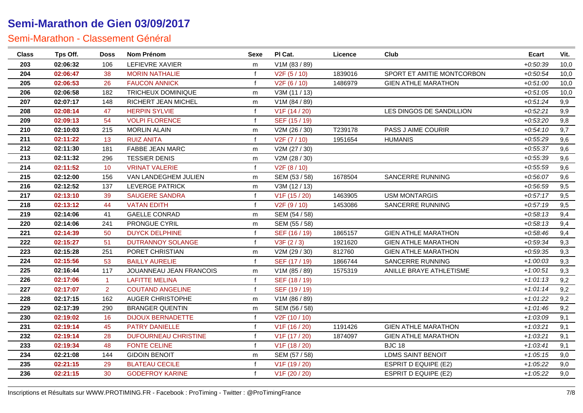| <b>Class</b> | Tps Off. | <b>Doss</b>    | Nom Prénom                  | Sexe         | PI Cat.                    | Licence | Club                        | <b>Ecart</b> | Vit. |
|--------------|----------|----------------|-----------------------------|--------------|----------------------------|---------|-----------------------------|--------------|------|
| 203          | 02:06:32 | 106            | <b>LEFIEVRE XAVIER</b>      | m            | V1M (83 / 89)              |         |                             | $+0.50.39$   | 10,0 |
| 204          | 02:06:47 | 38             | <b>MORIN NATHALIE</b>       | $\mathbf f$  | V2F(5/10)                  | 1839016 | SPORT ET AMITIE MONTCORBON  | $+0.50.54$   | 10,0 |
| 205          | 02:06:53 | 26             | <b>FAUCON ANNICK</b>        | $\mathbf f$  | V <sub>2</sub> F (6 / 10)  | 1486979 | <b>GIEN ATHLE MARATHON</b>  | $+0.51:00$   | 10,0 |
| 206          | 02:06:58 | 182            | <b>TRICHEUX DOMINIQUE</b>   | m            | V3M (11 / 13)              |         |                             | $+0.51.05$   | 10,0 |
| 207          | 02:07:17 | 148            | <b>RICHERT JEAN MICHEL</b>  | m            | V1M (84 / 89)              |         |                             | $+0.51.24$   | 9,9  |
| 208          | 02:08:14 | 47             | <b>HERPIN SYLVIE</b>        | $\mathbf f$  | V1F (14 / 20)              |         | LES DINGOS DE SANDILLION    | $+0.52:21$   | 9,9  |
| 209          | 02:09:13 | 54             | <b>VOLPI FLORENCE</b>       | $\mathbf f$  | SEF (15 / 19)              |         |                             | $+0.53:20$   | 9,8  |
| 210          | 02:10:03 | 215            | <b>MORLIN ALAIN</b>         | m            | V2M (26 / 30)              | T239178 | PASS J AIME COURIR          | $+0.54:10$   | 9,7  |
| 211          | 02:11:22 | 13             | <b>RUIZ ANITA</b>           | $\mathbf{f}$ | V2F (7 / 10)               | 1951654 | <b>HUMANIS</b>              | $+0.55.29$   | 9,6  |
| 212          | 02:11:30 | 181            | <b>FABBE JEAN MARC</b>      | m            | V2M (27 / 30)              |         |                             | $+0.55.37$   | 9,6  |
| 213          | 02:11:32 | 296            | <b>TESSIER DENIS</b>        | m            | V2M (28 / 30)              |         |                             | $+0.55.39$   | 9,6  |
| 214          | 02:11:52 | 10             | <b>VRINAT VALERIE</b>       | $\mathbf{f}$ | V <sub>2</sub> F (8 / 10)  |         |                             | $+0.55.59$   | 9,6  |
| 215          | 02:12:00 | 156            | VAN LANDEGHEM JULIEN        | m            | SEM (53 / 58)              | 1678504 | SANCERRE RUNNING            | $+0.56:07$   | 9,6  |
| 216          | 02:12:52 | 137            | <b>LEVERGE PATRICK</b>      | m            | V3M (12 / 13)              |         |                             | $+0.56.59$   | 9,5  |
| 217          | 02:13:10 | 39             | <b>SAUGERE SANDRA</b>       | $\mathbf f$  | V <sub>1</sub> F (15 / 20) | 1463905 | <b>USM MONTARGIS</b>        | $+0.57:17$   | 9,5  |
| 218          | 02:13:12 | 44             | <b>VATAN EDITH</b>          | f            | V2F(9/10)                  | 1453086 | SANCERRE RUNNING            | $+0.57:19$   | 9,5  |
| 219          | 02:14:06 | 41             | <b>GAELLE CONRAD</b>        | m            | SEM (54 / 58)              |         |                             | $+0.58:13$   | 9,4  |
| 220          | 02:14:06 | 241            | PRONGUE CYRIL               | m            | SEM (55 / 58)              |         |                             | $+0.58:13$   | 9,4  |
| 221          | 02:14:39 | 50             | <b>DUYCK DELPHINE</b>       | $\mathbf f$  | SEF (16 / 19)              | 1865157 | <b>GIEN ATHLE MARATHON</b>  | $+0.58:46$   | 9,4  |
| 222          | 02:15:27 | 51             | <b>DUTRANNOY SOLANGE</b>    | f            | V3F(2/3)                   | 1921620 | <b>GIEN ATHLE MARATHON</b>  | $+0.59.34$   | 9,3  |
| 223          | 02:15:28 | 251            | PORET CHRISTIAN             | m            | V2M (29 / 30)              | 812760  | <b>GIEN ATHLE MARATHON</b>  | $+0.59.35$   | 9,3  |
| 224          | 02:15:56 | 53             | <b>BAILLY AURELIE</b>       | $\mathbf f$  | SEF (17 / 19)              | 1866744 | SANCERRE RUNNING            | $+1:00:03$   | 9,3  |
| 225          | 02:16:44 | 117            | JOUANNEAU JEAN FRANCOIS     | m            | V1M (85 / 89)              | 1575319 | ANILLE BRAYE ATHLETISME     | $+1:00:51$   | 9,3  |
| 226          | 02:17:06 | $\mathbf{1}$   | <b>LAFITTE MELINA</b>       | f            | SEF (18 / 19)              |         |                             | $+1:01:13$   | 9,2  |
| 227          | 02:17:07 | $\overline{2}$ | <b>COUTAND ANGELINE</b>     | f            | SEF (19 / 19)              |         |                             | $+1:01:14$   | 9,2  |
| 228          | 02:17:15 | 162            | <b>AUGER CHRISTOPHE</b>     | m            | V1M (86 / 89)              |         |                             | $+1:01:22$   | 9,2  |
| 229          | 02:17:39 | 290            | <b>BRANGER QUENTIN</b>      | m            | SEM (56 / 58)              |         |                             | $+1:01:46$   | 9,2  |
| 230          | 02:19:02 | 16             | <b>DIJOUX BERNADETTE</b>    | f            | V2F (10 / 10)              |         |                             | $+1:03:09$   | 9,1  |
| 231          | 02:19:14 | 45             | <b>PATRY DANIELLE</b>       |              | V1F (16 / 20)              | 1191426 | <b>GIEN ATHLE MARATHON</b>  | $+1:03:21$   | 9,1  |
| 232          | 02:19:14 | 28             | <b>DUFOURNEAU CHRISTINE</b> |              | V1F (17 / 20)              | 1874097 | <b>GIEN ATHLE MARATHON</b>  | $+1:03:21$   | 9,1  |
| 233          | 02:19:34 | 48             | <b>FONTE CELINE</b>         | f            | V1F (18 / 20)              |         | <b>BJC 18</b>               | $+1:03:41$   | 9,1  |
| 234          | 02:21:08 | 144            | <b>GIDOIN BENOIT</b>        | m            | SEM (57 / 58)              |         | <b>LDMS SAINT BENOIT</b>    | $+1:05:15$   | 9,0  |
| 235          | 02:21:15 | 29             | <b>BLATEAU CECILE</b>       | f            | V1F (19 / 20)              |         | <b>ESPRIT D EQUIPE (E2)</b> | $+1:05:22$   | 9,0  |
| 236          | 02:21:15 | 30             | <b>GODEFROY KARINE</b>      | f            | V1F (20 / 20)              |         | <b>ESPRIT D EQUIPE (E2)</b> | $+1:05:22$   | 9,0  |